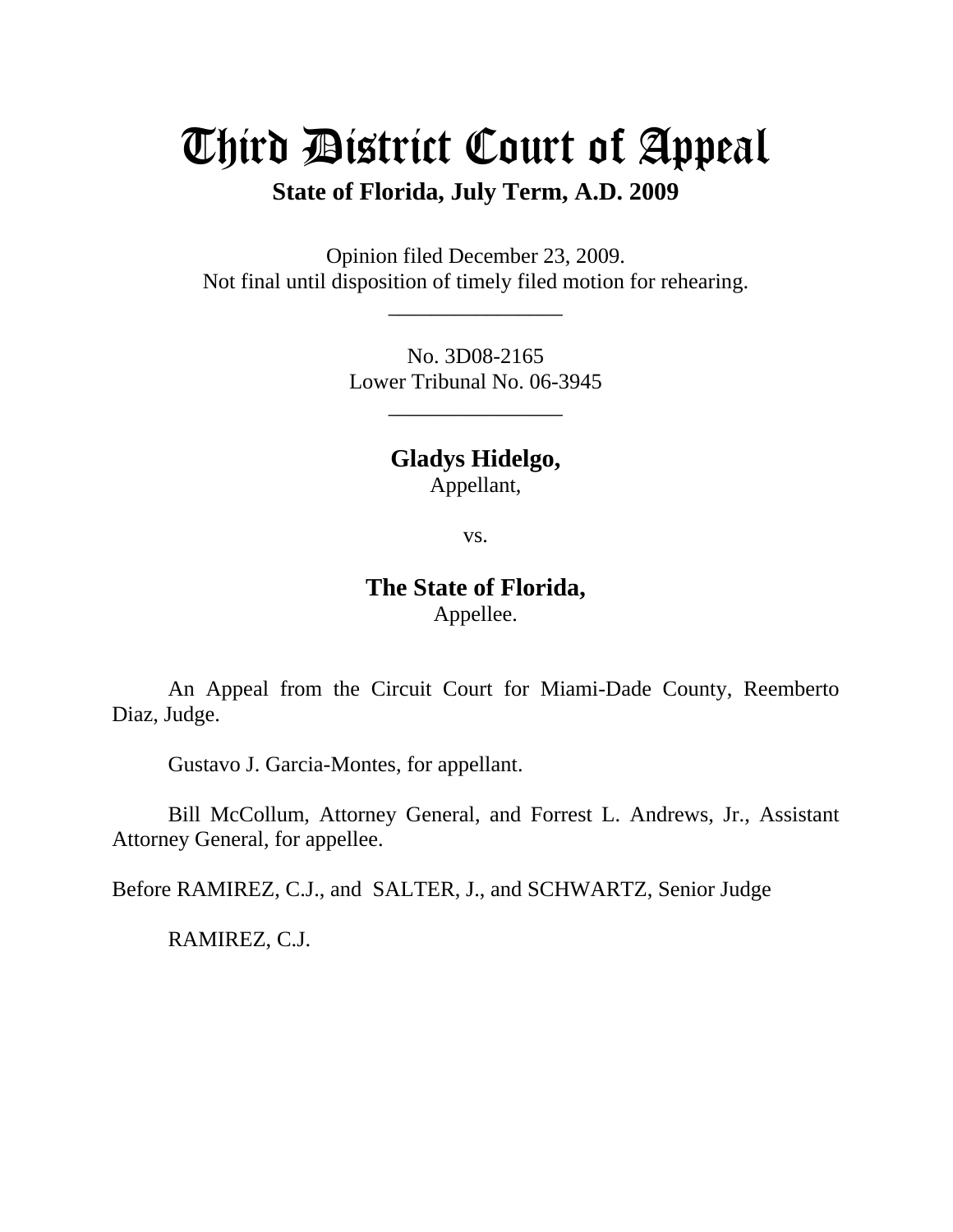## Third District Court of Appeal

**State of Florida, July Term, A.D. 2009** 

Opinion filed December 23, 2009. Not final until disposition of timely filed motion for rehearing.

\_\_\_\_\_\_\_\_\_\_\_\_\_\_\_\_

No. 3D08-2165 Lower Tribunal No. 06-3945

\_\_\_\_\_\_\_\_\_\_\_\_\_\_\_\_

**Gladys Hidelgo,**  Appellant,

vs.

## **The State of Florida,**  Appellee.

 An Appeal from the Circuit Court for Miami-Dade County, Reemberto Diaz, Judge.

Gustavo J. Garcia-Montes, for appellant.

 Bill McCollum, Attorney General, and Forrest L. Andrews, Jr., Assistant Attorney General, for appellee.

Before RAMIREZ, C.J., and SALTER, J., and SCHWARTZ, Senior Judge

RAMIREZ, C.J.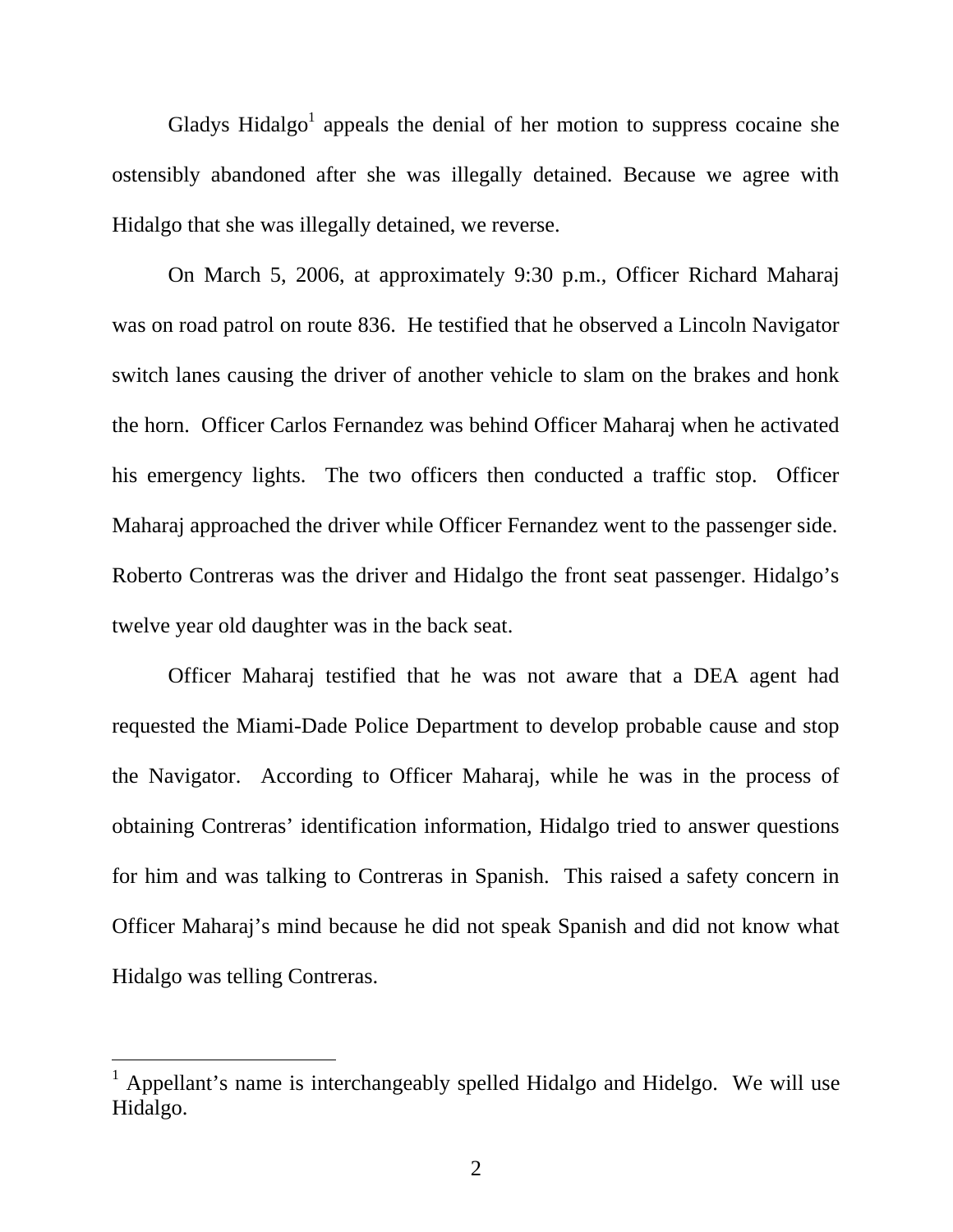Gladys Hidalgo<sup>1</sup> appeals the denial of her motion to suppress cocaine she ostensibly abandoned after she was illegally detained. Because we agree with Hidalgo that she was illegally detained, we reverse.

 On March 5, 2006, at approximately 9:30 p.m., Officer Richard Maharaj was on road patrol on route 836. He testified that he observed a Lincoln Navigator switch lanes causing the driver of another vehicle to slam on the brakes and honk the horn. Officer Carlos Fernandez was behind Officer Maharaj when he activated his emergency lights. The two officers then conducted a traffic stop. Officer Maharaj approached the driver while Officer Fernandez went to the passenger side. Roberto Contreras was the driver and Hidalgo the front seat passenger. Hidalgo's twelve year old daughter was in the back seat.

 Officer Maharaj testified that he was not aware that a DEA agent had requested the Miami-Dade Police Department to develop probable cause and stop the Navigator. According to Officer Maharaj, while he was in the process of obtaining Contreras' identification information, Hidalgo tried to answer questions for him and was talking to Contreras in Spanish. This raised a safety concern in Officer Maharaj's mind because he did not speak Spanish and did not know what Hidalgo was telling Contreras.

 $\overline{a}$ 

<sup>&</sup>lt;sup>1</sup> Appellant's name is interchangeably spelled Hidalgo and Hidelgo. We will use Hidalgo.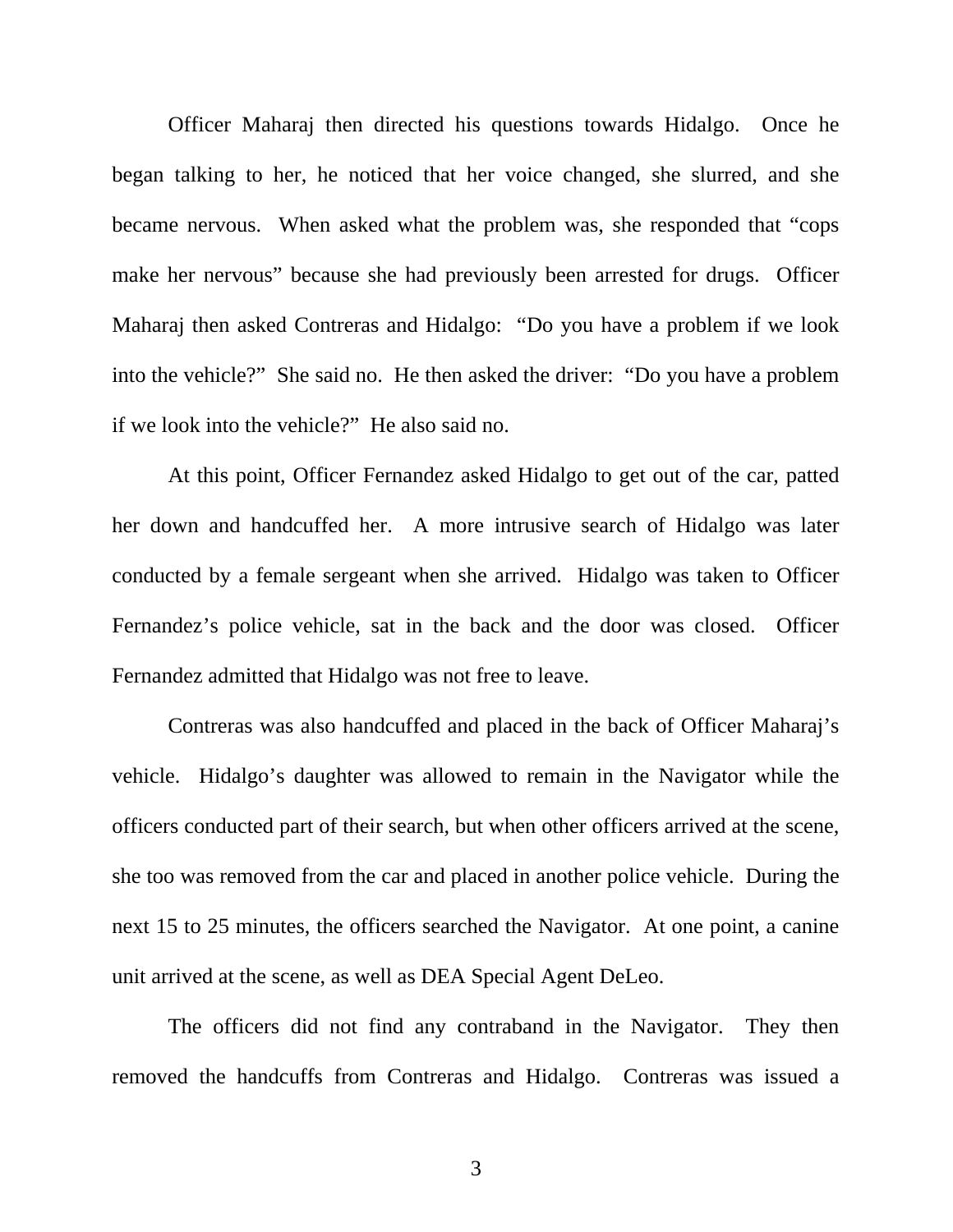Officer Maharaj then directed his questions towards Hidalgo. Once he began talking to her, he noticed that her voice changed, she slurred, and she became nervous. When asked what the problem was, she responded that "cops make her nervous" because she had previously been arrested for drugs. Officer Maharaj then asked Contreras and Hidalgo: "Do you have a problem if we look into the vehicle?" She said no. He then asked the driver: "Do you have a problem if we look into the vehicle?" He also said no.

At this point, Officer Fernandez asked Hidalgo to get out of the car, patted her down and handcuffed her. A more intrusive search of Hidalgo was later conducted by a female sergeant when she arrived. Hidalgo was taken to Officer Fernandez's police vehicle, sat in the back and the door was closed. Officer Fernandez admitted that Hidalgo was not free to leave.

Contreras was also handcuffed and placed in the back of Officer Maharaj's vehicle. Hidalgo's daughter was allowed to remain in the Navigator while the officers conducted part of their search, but when other officers arrived at the scene, she too was removed from the car and placed in another police vehicle. During the next 15 to 25 minutes, the officers searched the Navigator. At one point, a canine unit arrived at the scene, as well as DEA Special Agent DeLeo.

The officers did not find any contraband in the Navigator. They then removed the handcuffs from Contreras and Hidalgo. Contreras was issued a

3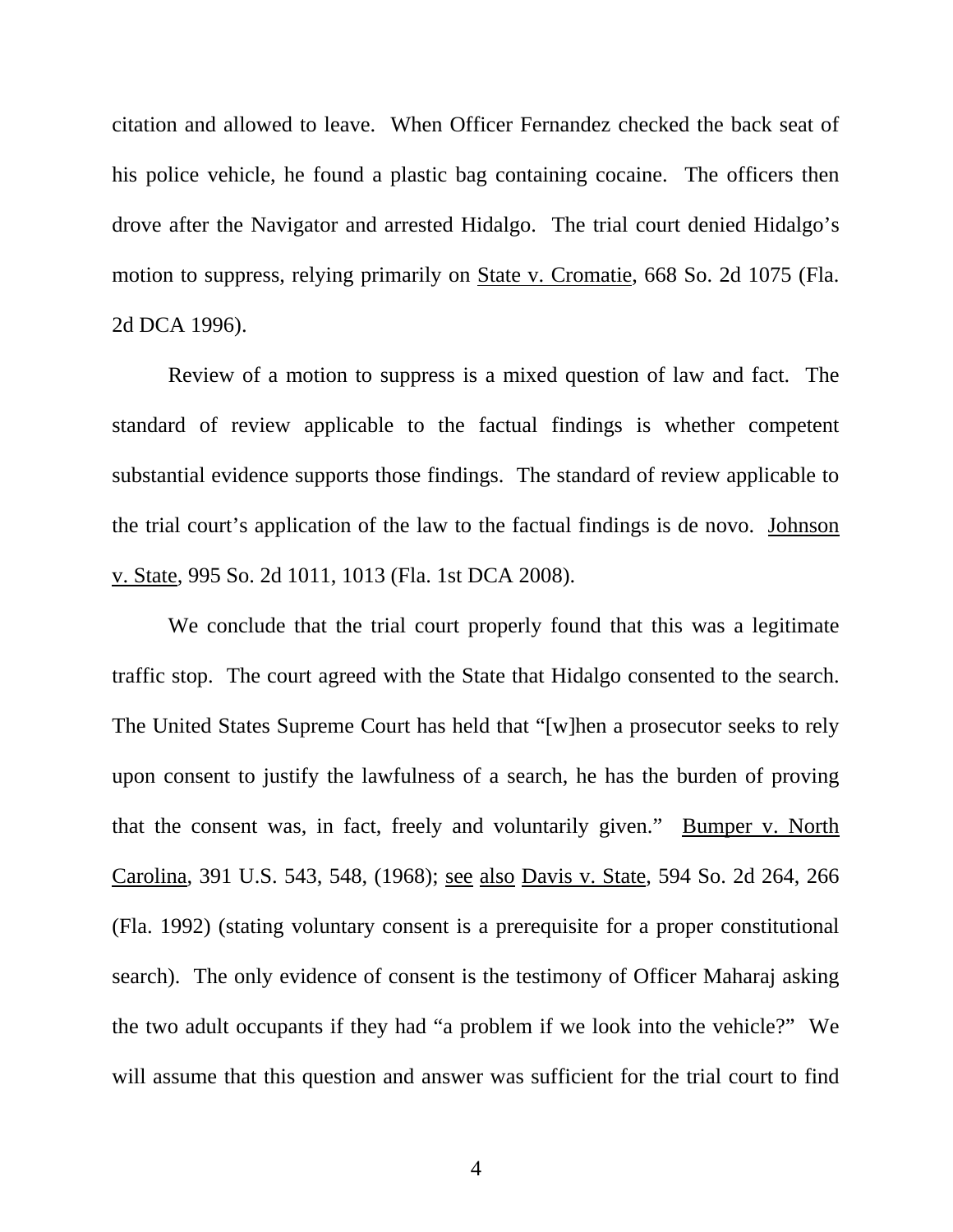citation and allowed to leave. When Officer Fernandez checked the back seat of his police vehicle, he found a plastic bag containing cocaine. The officers then drove after the Navigator and arrested Hidalgo. The trial court denied Hidalgo's motion to suppress, relying primarily on State v. Cromatie, 668 So. 2d 1075 (Fla. 2d DCA 1996).

Review of a motion to suppress is a mixed question of law and fact. The standard of review applicable to the factual findings is whether competent substantial evidence supports those findings. The standard of review applicable to the trial court's application of the law to the factual findings is de novo. Johnson v. State, 995 So. 2d 1011, 1013 (Fla. 1st DCA 2008).

We conclude that the trial court properly found that this was a legitimate traffic stop. The court agreed with the State that Hidalgo consented to the search. The United States Supreme Court has held that "[w]hen a prosecutor seeks to rely upon consent to justify the lawfulness of a search, he has the burden of proving that the consent was, in fact, freely and voluntarily given." Bumper v. North Carolina, 391 U.S. 543, 548, (1968); see also Davis v. State, 594 So. 2d 264, 266 (Fla. 1992) (stating voluntary consent is a prerequisite for a proper constitutional search). The only evidence of consent is the testimony of Officer Maharaj asking the two adult occupants if they had "a problem if we look into the vehicle?" We will assume that this question and answer was sufficient for the trial court to find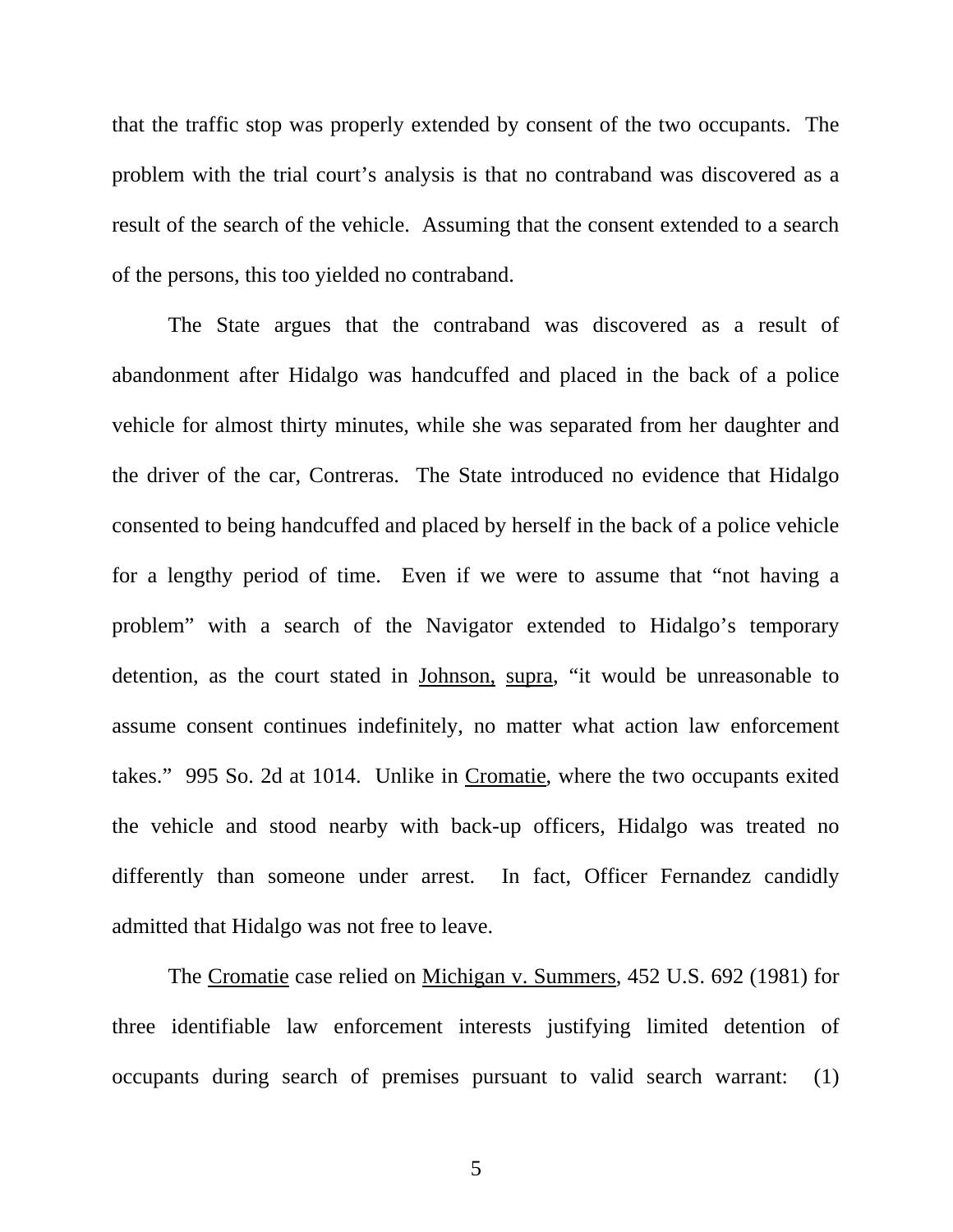that the traffic stop was properly extended by consent of the two occupants. The problem with the trial court's analysis is that no contraband was discovered as a result of the search of the vehicle. Assuming that the consent extended to a search of the persons, this too yielded no contraband.

The State argues that the contraband was discovered as a result of abandonment after Hidalgo was handcuffed and placed in the back of a police vehicle for almost thirty minutes, while she was separated from her daughter and the driver of the car, Contreras. The State introduced no evidence that Hidalgo consented to being handcuffed and placed by herself in the back of a police vehicle for a lengthy period of time. Even if we were to assume that "not having a problem" with a search of the Navigator extended to Hidalgo's temporary detention, as the court stated in Johnson, supra, "it would be unreasonable to assume consent continues indefinitely, no matter what action law enforcement takes." 995 So. 2d at 1014. Unlike in Cromatie, where the two occupants exited the vehicle and stood nearby with back-up officers, Hidalgo was treated no differently than someone under arrest. In fact, Officer Fernandez candidly admitted that Hidalgo was not free to leave.

The Cromatie case relied on Michigan v. Summers, 452 U.S. 692 (1981) for three identifiable law enforcement interests justifying limited detention of occupants during search of premises pursuant to valid search warrant: (1)

5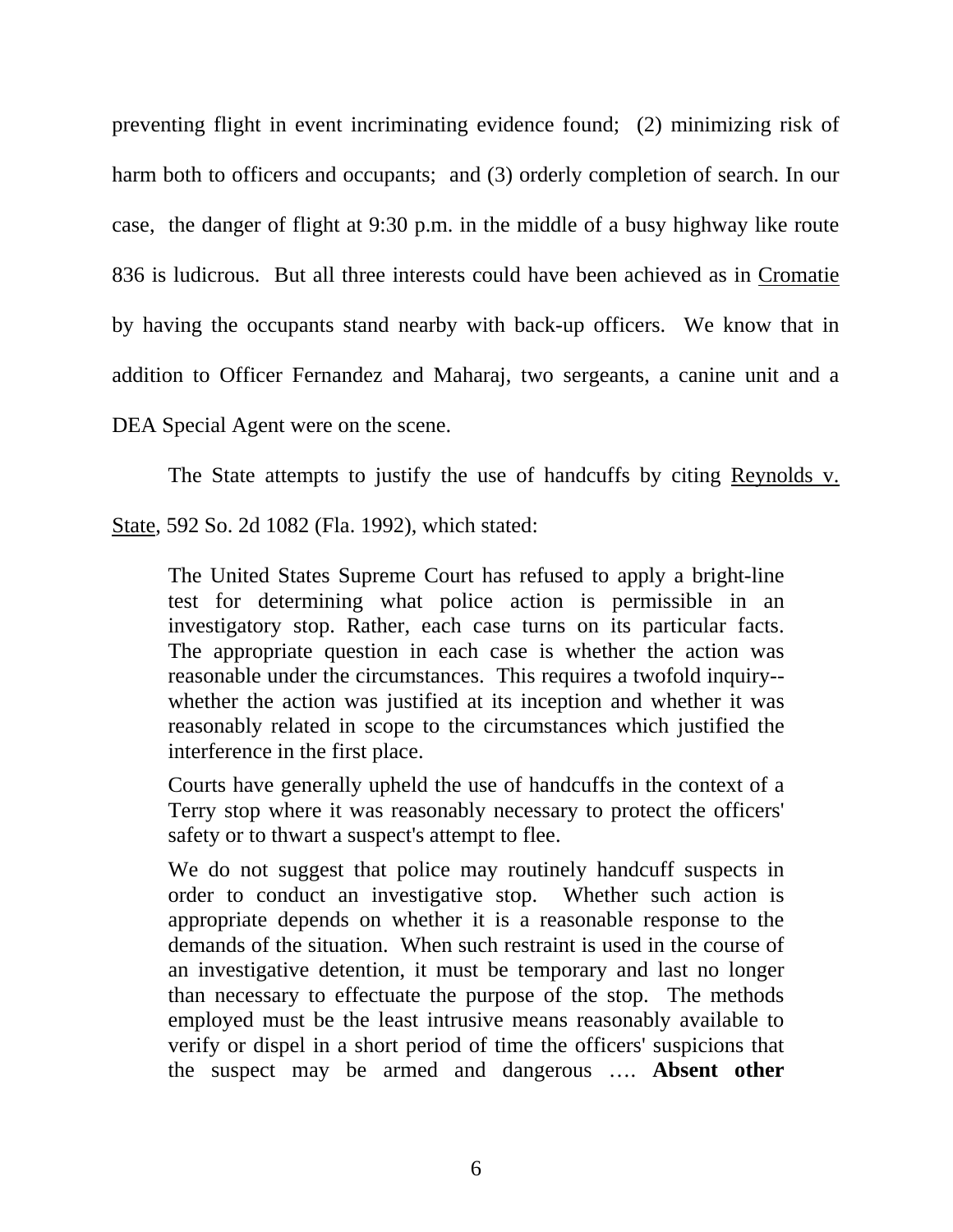preventing flight in event incriminating evidence found; (2) minimizing risk of harm both to officers and occupants; and (3) orderly completion of search. In our case, the danger of flight at 9:30 p.m. in the middle of a busy highway like route 836 is ludicrous. But all three interests could have been achieved as in Cromatie by having the occupants stand nearby with back-up officers. We know that in addition to Officer Fernandez and Maharaj, two sergeants, a canine unit and a DEA Special Agent were on the scene.

The State attempts to justify the use of handcuffs by citing Reynolds v.

State, 592 So. 2d 1082 (Fla. 1992), which stated:

The United States Supreme Court has refused to apply a bright-line test for determining what police action is permissible in an investigatory stop. Rather, each case turns on its particular facts. The appropriate question in each case is whether the action was reasonable under the circumstances. This requires a twofold inquiry- whether the action was justified at its inception and whether it was reasonably related in scope to the circumstances which justified the interference in the first place.

Courts have generally upheld the use of handcuffs in the context of a Terry stop where it was reasonably necessary to protect the officers' safety or to thwart a suspect's attempt to flee.

We do not suggest that police may routinely handcuff suspects in order to conduct an investigative stop. Whether such action is appropriate depends on whether it is a reasonable response to the demands of the situation. When such restraint is used in the course of an investigative detention, it must be temporary and last no longer than necessary to effectuate the purpose of the stop. The methods employed must be the least intrusive means reasonably available to verify or dispel in a short period of time the officers' suspicions that the suspect may be armed and dangerous …. **Absent other**